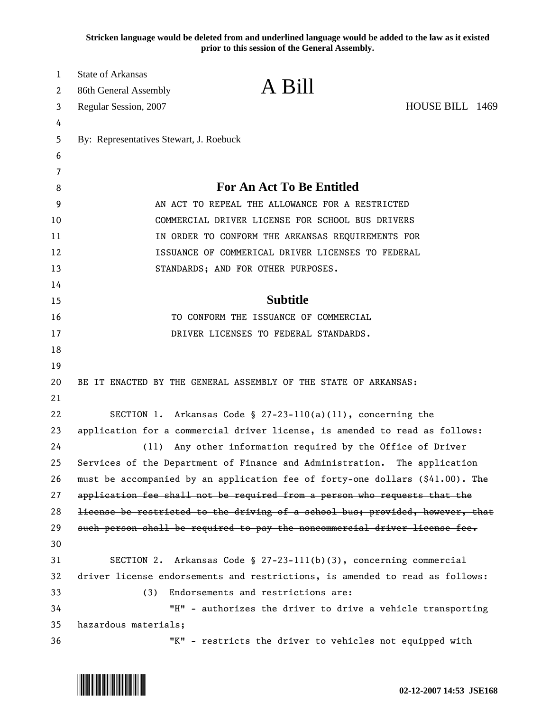**Stricken language would be deleted from and underlined language would be added to the law as it existed prior to this session of the General Assembly.**

| 1      | <b>State of Arkansas</b><br>A Bill                                            |                                                                              |  |
|--------|-------------------------------------------------------------------------------|------------------------------------------------------------------------------|--|
| 2      | 86th General Assembly                                                         |                                                                              |  |
| 3      | Regular Session, 2007                                                         | HOUSE BILL 1469                                                              |  |
| 4      |                                                                               |                                                                              |  |
| 5      | By: Representatives Stewart, J. Roebuck                                       |                                                                              |  |
| 6<br>7 |                                                                               |                                                                              |  |
| 8      | <b>For An Act To Be Entitled</b>                                              |                                                                              |  |
| 9      | AN ACT TO REPEAL THE ALLOWANCE FOR A RESTRICTED                               |                                                                              |  |
| 10     | COMMERCIAL DRIVER LICENSE FOR SCHOOL BUS DRIVERS                              |                                                                              |  |
| 11     | IN ORDER TO CONFORM THE ARKANSAS REQUIREMENTS FOR                             |                                                                              |  |
| 12     | ISSUANCE OF COMMERICAL DRIVER LICENSES TO FEDERAL                             |                                                                              |  |
| 13     | STANDARDS; AND FOR OTHER PURPOSES.                                            |                                                                              |  |
| 14     |                                                                               |                                                                              |  |
| 15     | <b>Subtitle</b>                                                               |                                                                              |  |
| 16     | TO CONFORM THE ISSUANCE OF COMMERCIAL                                         |                                                                              |  |
| 17     | DRIVER LICENSES TO FEDERAL STANDARDS.                                         |                                                                              |  |
| 18     |                                                                               |                                                                              |  |
| 19     |                                                                               |                                                                              |  |
| 20     | BE IT ENACTED BY THE GENERAL ASSEMBLY OF THE STATE OF ARKANSAS:               |                                                                              |  |
| 21     |                                                                               |                                                                              |  |
| 22     | SECTION 1. Arkansas Code § $27-23-110(a)(11)$ , concerning the                |                                                                              |  |
| 23     | application for a commercial driver license, is amended to read as follows:   |                                                                              |  |
| 24     | Any other information required by the Office of Driver<br>(11)                |                                                                              |  |
| 25     | Services of the Department of Finance and Administration. The application     |                                                                              |  |
| 26     | must be accompanied by an application fee of forty-one dollars (\$41.00). The |                                                                              |  |
| 27     | application fee shall not be required from a person who requests that the     |                                                                              |  |
| 28     | license be restricted to the driving of a school bus; provided, however, that |                                                                              |  |
| 29     | such person shall be required to pay the noncommercial driver license fee.    |                                                                              |  |
| 30     |                                                                               |                                                                              |  |
| 31     | SECTION 2. Arkansas Code § 27-23-111(b)(3), concerning commercial             |                                                                              |  |
| 32     |                                                                               | driver license endorsements and restrictions, is amended to read as follows: |  |
| 33     | Endorsements and restrictions are:<br>(3)                                     |                                                                              |  |
| 34     | "H" - authorizes the driver to drive a vehicle transporting                   |                                                                              |  |
| 35     | hazardous materials;                                                          |                                                                              |  |
| 36     | "K" - restricts the driver to vehicles not equipped with                      |                                                                              |  |